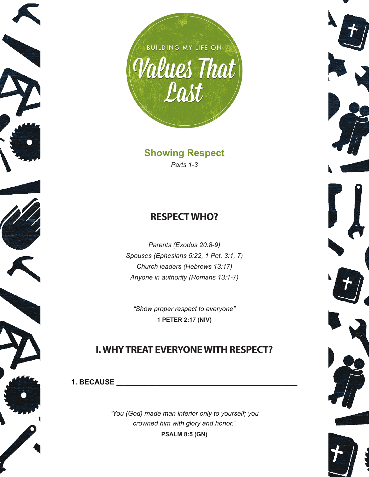

**Showing Respect** *Parts 1-3*

### **RESPECT WHO?**

*Parents (Exodus 20:8-9) Spouses (Ephesians 5:22, 1 Pet. 3:1, 7) Church leaders (Hebrews 13:17) Anyone in authority (Romans 13:1-7)*

*"Show proper respect to everyone"* **1 PETER 2:17 (NIV)**

# **I. WHY TREAT EVERYONE WITH RESPECT?**

**1. BECAUSE \_\_\_\_\_\_\_\_\_\_\_\_\_\_\_\_\_\_\_\_\_\_\_\_\_\_\_\_\_\_\_\_\_\_\_\_\_\_\_\_\_\_\_\_\_**

*"You (God) made man inferior only to yourself; you crowned him with glory and honor."* **PSALM 8:5 (GN)**



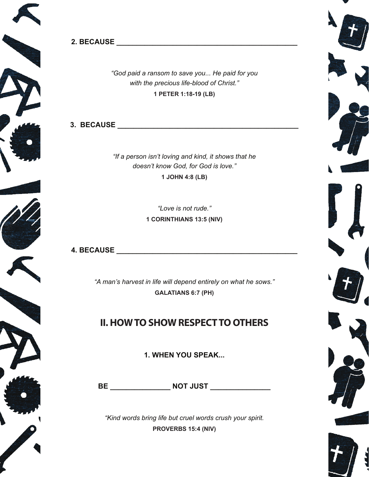



**2. BECAUSE \_\_\_\_\_\_\_\_\_\_\_\_\_\_\_\_\_\_\_\_\_\_\_\_\_\_\_\_\_\_\_\_\_\_\_\_\_\_\_\_\_\_\_\_\_**

*"God paid a ransom to save you... He paid for you with the precious life-blood of Christ."* **1 PETER 1:18-19 (LB)**

**3. BECAUSE \_\_\_\_\_\_\_\_\_\_\_\_\_\_\_\_\_\_\_\_\_\_\_\_\_\_\_\_\_\_\_\_\_\_\_\_\_\_\_\_\_\_\_\_\_**

*"If a person isn't loving and kind, it shows that he doesn't know God, for God is love."* **1 JOHN 4:8 (LB)**

> *"Love is not rude."* **1 CORINTHIANS 13:5 (NIV)**

**4. BECAUSE \_\_\_\_\_\_\_\_\_\_\_\_\_\_\_\_\_\_\_\_\_\_\_\_\_\_\_\_\_\_\_\_\_\_\_\_\_\_\_\_\_\_\_\_\_**

*"A man's harvest in life will depend entirely on what he sows."* **GALATIANS 6:7 (PH)**

# **II. HOW TO SHOW RESPECT TO OTHERS**

**1. WHEN YOU SPEAK...**

**BE \_\_\_\_\_\_\_\_\_\_\_\_\_\_\_ NOT JUST \_\_\_\_\_\_\_\_\_\_\_\_\_\_\_**

*"Kind words bring life but cruel words crush your spirit.* **PROVERBS 15:4 (NIV)**

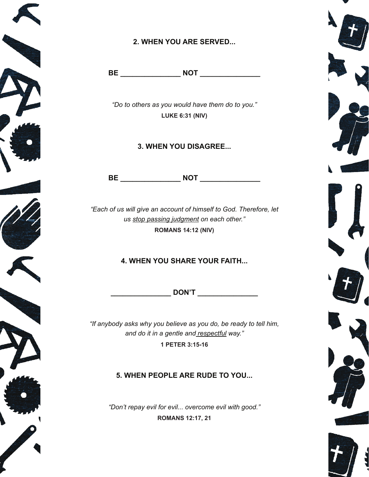

### **2. WHEN YOU ARE SERVED...**

**BE \_\_\_\_\_\_\_\_\_\_\_\_\_\_\_ NOT \_\_\_\_\_\_\_\_\_\_\_\_\_\_\_**

*"Do to others as you would have them do to you."* **LUKE 6:31 (NIV)**

#### **3. WHEN YOU DISAGREE...**

**BE \_\_\_\_\_\_\_\_\_\_\_\_\_\_\_ NOT \_\_\_\_\_\_\_\_\_\_\_\_\_\_\_**

*"Each of us will give an account of himself to God. Therefore, let us stop passing judgment on each other."* **ROMANS 14:12 (NIV)**

#### **4. WHEN YOU SHARE YOUR FAITH...**

**\_\_\_\_\_\_\_\_\_\_\_\_\_\_\_ DON'T \_\_\_\_\_\_\_\_\_\_\_\_\_\_\_**

*"If anybody asks why you believe as you do, be ready to tell him, and do it in a gentle and respectful way."* **1 PETER 3:15-16**

### **5. WHEN PEOPLE ARE RUDE TO YOU...**

*"Don't repay evil for evil... overcome evil with good."* **ROMANS 12:17, 21**